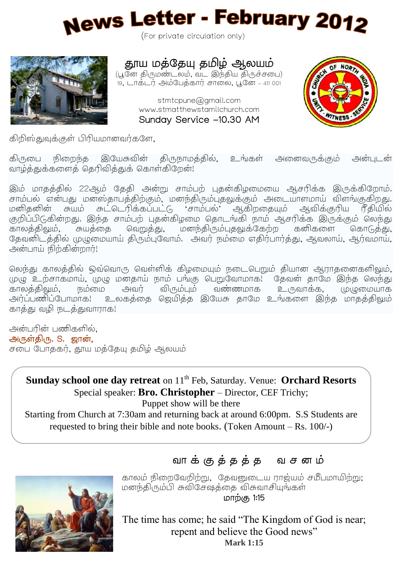

(For private circulation only)



# தூய மத்தேயு தமிழ் ஆலயம்

(பூனே திருமண்டலம், வட இந்திய திருச்சபை) 19, டாக்டர் அம்பேக்கார் சாலை, பூனே – 411 001

> stmtcpune@gmail.com www.stmatthewstamilchurch.com Sunday Service -10.30 AM



கிறிஸ்துவக்குள் பிரியமானவர்களே,

கிருபை நிறைந்த இயேசுவின் திருநாமத்தில், உங்கள் அனைவருக்கும் அன்படன் வாழ்த்துக்களைத் தெரிவித்துக் கொள்கிறேன்!

இம் மாதத்தில் 22ஆம் தேதி அன்று சாம்பற் புதன்கிழமையை ஆசரிக்க இருக்கிறோம். , . மனிதனின் சுயம் சுட்டெரிக்கப்பட்டு, 'சாம்பல்' ஆகிறதையும் ஆவிக்குரிய ரீதியில் குறிப்பிடுகின்றது. இந்த சாம்பற் பகன்கிமமை கொடங்கி நாம் அசரிக்க இருக்கும் லெந்து , , , தேவனிடத்தில் முழுமையாய் திரும்புவோம். அவர் நம்மை எதிர்பார்த்து, ஆவலாய், ஆர்வமாய், அன்பாய் நிற்கின்றார்!

லெந்து காலத்தில் ஒவ்வொரு வெள்ளிக் கிழமையும் நடைபெறும் தியான அராகனைகளிலும். , ! அவர் விரும்பும் வண்ணமாக உருவாக்க, முழுமையாக .<br>அர்ப்பணிப்போமாக! உலகக்கை ஜெயிக்க இயேசு காமே உங்களை இந்க மாகக்கிலும் காத்து வழி நடத்துவாராக!

அன்பரின் பணிகளில், அருள்திரு. S. ஜான், சபை போககர், தூய மத்தேயு தமிழ் ஆலயம்

 Starting from Church at 7:30am and returning back at around 6:00pm. S.S Students are requested to bring their bible and note books. (Token Amount – Rs. 100/-)**Sunday school one day retreat** on 11<sup>th</sup> Feb, Saturday. Venue: **Orchard Resorts** Special speaker: **Bro. Christopher** – Director, CEF Trichy; Puppet show will be there

j



 $\overline{\phantom{a}}$  $\overline{\phantom{a}}$  $\overline{\phantom{a}}$  $\overline{\phantom{a}}$ 

காலம் நிறைவேறிற்று, தேவனுடைய ராஜ்யம் சமீபமாயிற்று; மனந்திரும்பி சுவிசேஷத்தை விசுவாசியங்கள் **மா**ற்கு 1:15

The time has come; he said "The Kingdom of God is near; repent and believe the Good news" **Mark 1:15**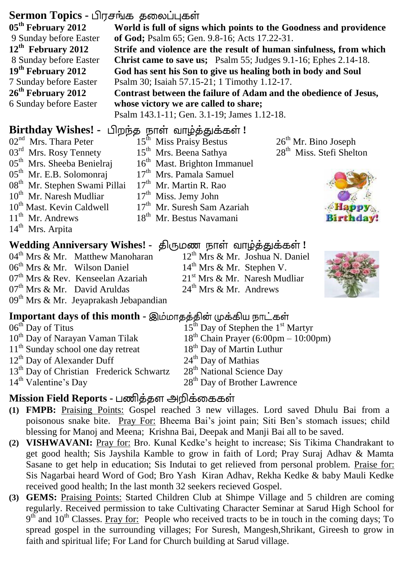### Sermon Topics - பிரசங்க கலைப்பகள்

| 05 <sup>th</sup> February 2012 | World is full of signs which points to the Goodness and providence     |  |  |  |  |  |
|--------------------------------|------------------------------------------------------------------------|--|--|--|--|--|
| 9 Sunday before Easter         | of God; Psalm 65; Gen. 9.8-16; Acts 17.22-31.                          |  |  |  |  |  |
| 12 <sup>th</sup> February 2012 | Strife and violence are the result of human sinfulness, from which     |  |  |  |  |  |
| 8 Sunday before Easter         | <b>Christ came to save us;</b> Psalm 55; Judges 9.1-16; Ephes 2.14-18. |  |  |  |  |  |
| 19 <sup>th</sup> February 2012 | God has sent his Son to give us healing both in body and Soul          |  |  |  |  |  |
| 7 Sunday before Easter         | Psalm 30; Isaiah 57.15-21; 1 Timothy 1.12-17.                          |  |  |  |  |  |
| 26 <sup>th</sup> February 2012 | Contrast between the failure of Adam and the obedience of Jesus,       |  |  |  |  |  |
| 6 Sunday before Easter         | whose victory we are called to share;                                  |  |  |  |  |  |
|                                | Psalm 143.1-11; Gen. 3.1-19; James 1.12-18.                            |  |  |  |  |  |
|                                |                                                                        |  |  |  |  |  |

### **Birthday Wishes! -** பிறந்த நாள் வாழ்த்துக்கள்!

02<sup>nd</sup> Mrs. Thara Peter 03<sup>rd</sup> Mrs. Rosy Tennety 05<sup>th</sup> Mrs. Sheeba Benielraj 05<sup>th</sup> Mr. E.B. Solomonraj 08<sup>th</sup> Mr. Stephen Swami Pillai 10<sup>th</sup> Mr. Naresh Mudliar 10<sup>th</sup> Mast. Kevin Caldwell 11<sup>th</sup> Mr. Andrews 14<sup>th</sup> Mrs. Arpita

04<sup>th</sup> Mrs & Mr. Matthew Manoharan 06<sup>th</sup> Mrs & Mr. Wilson Daniel 07<sup>th</sup> Mrs & Rev. Kenseelan Azariah 07<sup>th</sup> Mrs & Mr. David Aruldas  $09<sup>th</sup>$  Mrs & Mr. Jevaprakash Jebapandian

15<sup>th</sup> Miss Praisy Bestus 15<sup>th</sup> Mrs. Beena Sathya 16<sup>th</sup> Mast. Brighton Immanuel 17<sup>th</sup> Mrs. Pamala Samuel 17<sup>th</sup> Mr. Martin R. Rao 17<sup>th</sup> Miss. Jemy John 17<sup>th</sup> Mr. Suresh Sam Azariah 18<sup>th</sup> Mr. Bestus Navamani

28<sup>th</sup> Miss. Stefi Shelton

26<sup>th</sup> Mr. Bino Joseph



# **Wedding Anniversary Wishes! - திருமண நாள் வாழ்த்துக்கள்!**

12<sup>th</sup> Mrs & Mr. Joshua N. Daniel 14<sup>th</sup> Mrs & Mr. Stephen V. 21<sup>st</sup> Mrs & Mr. Naresh Mudliar  $24^{\text{th}}$  Mrs & Mr. Andrews



#### **Important days of this month -**

 $06<sup>th</sup>$  Day of Titus 10<sup>th</sup> Day of Narayan Vaman Tilak 11<sup>th</sup> Sunday school one day retreat  $12<sup>th</sup>$  Day of Alexander Duff 13<sup>th</sup> Day of Christian Frederick Schwartz 14<sup>th</sup> Valentine's Day  $15<sup>th</sup>$  Day of Stephen the  $1<sup>st</sup>$  Martyr  $18<sup>th</sup>$  Chain Prayer (6:00pm – 10:00pm) 18<sup>th</sup> Day of Martin Luthur 24<sup>th</sup> Day of Mathias 28<sup>th</sup> National Science Day 28<sup>th</sup> Day of Brother Lawrence

### **Mission Field Reports -**

- **(1) FMPB:** Praising Points: Gospel reached 3 new villages. Lord saved Dhulu Bai from a poisonous snake bite. Pray For: Bheema Bai's joint pain; Siti Ben's stomach issues; child blessing for Manoj and Meena; Krishna Bai, Deepak and Manji Bai all to be saved.
- **(2) VISHWAVANI:** Pray for: Bro. Kunal Kedke's height to increase; Sis Tikima Chandrakant to get good health; Sis Jayshila Kamble to grow in faith of Lord; Pray Suraj Adhav & Mamta Sasane to get help in education; Sis Indutai to get relieved from personal problem. Praise for: Sis Nagarbai heard Word of God; Bro Yash Kiran Adhav, Rekha Kedke & baby Mauli Kedke received good health; In the last month 32 seekers recieved Gospel.
- **(3) GEMS:** Praising Points: Started Children Club at Shimpe Village and 5 children are coming regularly. Received permission to take Cultivating Character Seminar at Sarud High School for  $9<sup>th</sup>$  and  $10<sup>th</sup>$  Classes. Pray for: People who received tracts to be in touch in the coming days; To spread gospel in the surrounding villages; For Suresh, Mangesh,Shrikant, Gireesh to grow in faith and spiritual life; For Land for Church building at Sarud village.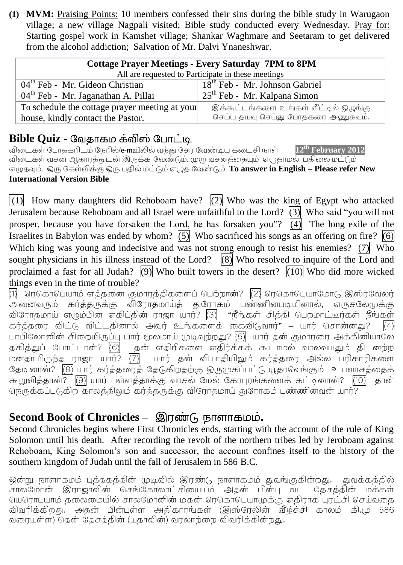**(1) MVM:** Praising Points: 10 members confessed their sins during the bible study in Warugaon village; a new village Nagpali visited; Bible study conducted every Wednesday. Pray for: Starting gospel work in Kamshet village; Shankar Waghmare and Seetaram to get delivered from the alcohol addiction; Salvation of Mr. Dalvi Ynaneshwar.

| <b>Cottage Prayer Meetings - Every Saturday 7PM to 8PM</b> |                                            |  |  |  |  |  |  |
|------------------------------------------------------------|--------------------------------------------|--|--|--|--|--|--|
| All are requested to Participate in these meetings         |                                            |  |  |  |  |  |  |
| $04th$ Feb - Mr. Gideon Christian                          | 18 <sup>th</sup> Feb - Mr. Johnson Gabriel |  |  |  |  |  |  |
| 04 <sup>th</sup> Feb - Mr. Jaganathan A. Pillai            | $25th$ Feb - Mr. Kalpana Simon             |  |  |  |  |  |  |
| To schedule the cottage prayer meeting at your             | இக்கூட்டங்களை உங்கள் வீட்டில் ஒழுங்கு      |  |  |  |  |  |  |
| house, kindly contact the Pastor.                          | செய்ய தயவு செய்து போதகரை அணுகவும்.         |  |  |  |  |  |  |

#### **Bible Quiz -**

 /e-mail **12th February 2012** .<br>விடைகள் வசன ஆதாரத்துடன் இருக்க வேண்டும். (மடி வசனத்தையும் எழுதாமல் பகிலை மட்டும் . . **To answer in English – Please refer New International Version Bible**

 $(1)$  How many daughters did Rehoboam have?  $(2)$  Who was the king of Egypt who attacked Jerusalem because Rehoboam and all Israel were unfaithful to the Lord? (3) Who said "you will not prosper, because you have forsaken the Lord, he has forsaken you"?  $\overline{(4)}$  The long exile of the Israelites in Babylon was ended by whom?  $(5)$  Who sacrificed his songs as an offering on fire?  $(6)$ Which king was young and indecisive and was not strong enough to resist his enemies?  $\overline{(7)}$  Who sought physicians in his illness instead of the Lord?  $(8)$  Who resolved to inquire of the Lord and proclaimed a fast for all Judah? (9) Who built towers in the desert?  $(10)$  Who did more wicked things even in the time of trouble?

(1) ரெகொபெயாம் எத்தனை குமாரத்திகளைப் பெற்றான்?  $\overline{({2})}$  ரெகொபெயாமோடு இஸ்ரவேலர் .<br>விரோதமாய் எழும்பின் எகிப்தின் ராஜா யார்? <mark>(3)</mark> "நீங்கள் சித்தி பெறமாட்டீர்கள் நீங்கள் கர்த்தரை விட்டு விட்டதினால் அவர் உங்களைக் கைவிடுவார்" – யார் சொன்னது?  $\overline{4}$ பாபிலோனின் சிறையிருப்பு யார் மூலமாய் முடிவுற்றது? (5) யார் தன் குமாரரை அக்கினியாலே .<br>தகித்துப் போட்டான்? (6) தன் எதிரிகளை எதிர்க்கக் கூடாமல் வாலவயதும் திடனற்ற .<br>மனதாயிருந்த ராஜா யார்? (7) யார் தன் வியாதியிலும் கர்த்தரை அல்ல பரிகாரிகளை தேடினான்? (8) யார் கர்த்தரைத் தேடுகிறதற்கு ஒருமுகப்பட்டு யூதாவெங்கும் உபவாசத்தைக் கூறுவித்தான்? (9) யார் பள்ளத்தாக்கு வாசல் மேல் கோபுரங்களைக் கட்டினான்? (10) தான் நெருக்கப்படுகிற காலத்திலும் கர்த்தருக்கு விரோதமாய் துரோகம் பண்ணினவன் யார்?

# Second Book of Chronicles – இரண்டு நாளாகமம்.

Second Chronicles begins where First Chronicles ends, starting with the account of the rule of King Solomon until his death. After recording the revolt of the northern tribes led by Jeroboam against Rehoboam, King Solomon's son and successor, the account confines itself to the history of the southern kingdom of Judah until the fall of Jerusalem in 586 B.C.

ஒன்று நாளாகமம் புத்தகத்தின் முடிவில் இரண்டு நாளாகமம் துவங்குகின்றது. துவக்கத்தில் ு குடிக்கு<br>சாலமோன் இராஜாவின் செங்கோலாட்சியையும் அதன் பின்பு வட தேசத்தின் மக்கள் யெரொபயாம் கலைமையில் சாலமோனின் மகன் ரெகொபெயாமுக்கு எகிாாக பாட்சி செய்வகை விவரிக்கிறது. அதன் பின்புள்ள அதிகாரங்கள் (இஸ்ரேலின் வீழ்ச்சி காலம் கி.மு 586 வரையுள்ள) தென் தேசத்தின் (யதாவின்) வரலாற்றை விவரிக்கின்றது.